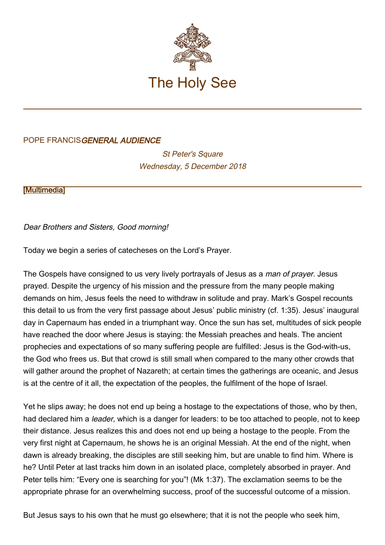

## POPE FRANCISGENERAL AUDIENCE

**St Peter's Square** Wednesday, 5 December 2018

**[\[Multimedia](http://w2.vatican.va/content/francesco/en/events/event.dir.html/content/vaticanevents/en/2018/12/5/udienzagenerale.html)]** 

Dear Brothers and Sisters, Good morning!

Today we begin a series of catecheses on the Lord's Prayer.

The Gospels have consigned to us very lively portrayals of Jesus as a man of prayer. Jesus prayed. Despite the urgency of his mission and the pressure from the many people making demands on him, Jesus feels the need to withdraw in solitude and pray. Mark's Gospel recounts this detail to us from the very first passage about Jesus' public ministry (cf. 1:35). Jesus' inaugural day in Capernaum has ended in a triumphant way. Once the sun has set, multitudes of sick people have reached the door where Jesus is staying: the Messiah preaches and heals. The ancient prophecies and expectations of so many suffering people are fulfilled: Jesus is the God-with-us, the God who frees us. But that crowd is still small when compared to the many other crowds that will gather around the prophet of Nazareth; at certain times the gatherings are oceanic, and Jesus is at the centre of it all, the expectation of the peoples, the fulfilment of the hope of Israel.

Yet he slips away; he does not end up being a hostage to the expectations of those, who by then, had declared him a *leader*, which is a danger for leaders: to be too attached to people, not to keep their distance. Jesus realizes this and does not end up being a hostage to the people. From the very first night at Capernaum, he shows he is an original Messiah. At the end of the night, when dawn is already breaking, the disciples are still seeking him, but are unable to find him. Where is he? Until Peter at last tracks him down in an isolated place, completely absorbed in prayer. And Peter tells him: "Every one is searching for you"! (Mk 1:37). The exclamation seems to be the appropriate phrase for an overwhelming success, proof of the successful outcome of a mission.

But Jesus says to his own that he must go elsewhere; that it is not the people who seek him,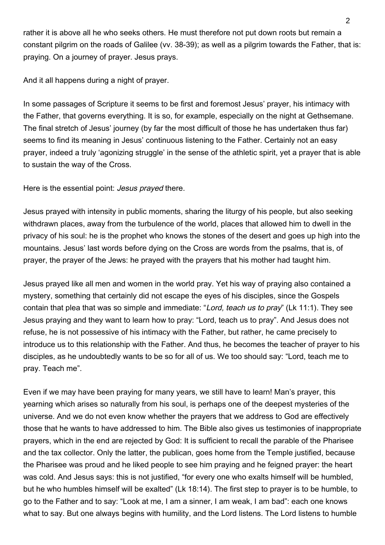rather it is above all he who seeks others. He must therefore not put down roots but remain a constant pilgrim on the roads of Galilee (vv. 38-39); as well as a pilgrim towards the Father, that is: praying. On a journey of prayer. Jesus prays.

And it all happens during a night of prayer.

In some passages of Scripture it seems to be first and foremost Jesus' prayer, his intimacy with the Father, that governs everything. It is so, for example, especially on the night at Gethsemane. The final stretch of Jesus' journey (by far the most difficult of those he has undertaken thus far) seems to find its meaning in Jesus' continuous listening to the Father. Certainly not an easy prayer, indeed a truly 'agonizing struggle' in the sense of the athletic spirit, yet a prayer that is able to sustain the way of the Cross.

Here is the essential point: *Jesus prayed* there.

Jesus prayed with intensity in public moments, sharing the liturgy of his people, but also seeking withdrawn places, away from the turbulence of the world, places that allowed him to dwell in the privacy of his soul: he is the prophet who knows the stones of the desert and goes up high into the mountains. Jesus' last words before dying on the Cross are words from the psalms, that is, of prayer, the prayer of the Jews: he prayed with the prayers that his mother had taught him.

Jesus prayed like all men and women in the world pray. Yet his way of praying also contained a mystery, something that certainly did not escape the eyes of his disciples, since the Gospels contain that plea that was so simple and immediate: "Lord, teach us to pray" (Lk 11:1). They see Jesus praying and they want to learn how to pray: "Lord, teach us to pray". And Jesus does not refuse, he is not possessive of his intimacy with the Father, but rather, he came precisely to introduce us to this relationship with the Father. And thus, he becomes the teacher of prayer to his disciples, as he undoubtedly wants to be so for all of us. We too should say: "Lord, teach me to pray. Teach me".

Even if we may have been praying for many years, we still have to learn! Man's prayer, this yearning which arises so naturally from his soul, is perhaps one of the deepest mysteries of the universe. And we do not even know whether the prayers that we address to God are effectively those that he wants to have addressed to him. The Bible also gives us testimonies of inappropriate prayers, which in the end are rejected by God: It is sufficient to recall the parable of the Pharisee and the tax collector. Only the latter, the publican, goes home from the Temple justified, because the Pharisee was proud and he liked people to see him praying and he feigned prayer: the heart was cold. And Jesus says: this is not justified, "for every one who exalts himself will be humbled, but he who humbles himself will be exalted" (Lk 18:14). The first step to prayer is to be humble, to go to the Father and to say: "Look at me, I am a sinner, I am weak, I am bad": each one knows what to say. But one always begins with humility, and the Lord listens. The Lord listens to humble